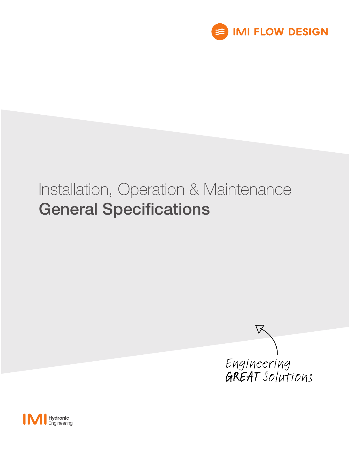

# Installation, Operation & Maintenance General Specifications



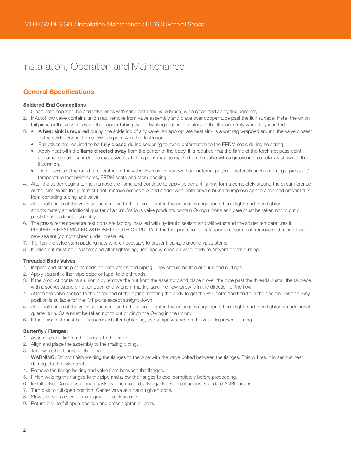# Installation, Operation and Maintenance

### General Specifications

### Soldered End Connections

- 1. Clean both copper tube and valve ends with sand cloth and wire brush, wipe clean and apply flux uniformly.
- 2. If AutoFlow valve contains union nut, remove from valve assembly and place over copper tube past the flux surface. Install the union tail piece or the valve body on the copper tubing with a twisting motion to distribute the flux uniformly when fully inserted.
- 3. A heat sink is required during the soldering of any valve. An appropriate heat sink is a wet rag wrapped around the valve closest to the solder connection shown as point A in the illustration.
	- Ball valves are required to be fully closed during soldering to avoid deformation to the EPDM seals during soldering.
	- Apply heat with the flame directed away from the center of the body. It is required that the flame of the torch not pass point or damage may occur due to excessive heat. This point may be marked on the valve with a groove in the metal as shown in the illustration.
	- Do not exceed the rated temperature of the valve. Excessive heat will harm internal polymer materials such as o-rings, pressure/ temperature test point cores, EPDM seats and stem packing.
- 4. After the solder begins to melt remove the flame and continue to apply solder until a ring forms completely around the circumference of the joint. While the joint is still hot, remove excess flux and solder with cloth or wire brush to improve appearance and prevent flux from corroding tubing and valve.
- 5. After both ends of the valve are assembled to the piping, tighten the union (if so equipped) hand tight, and then tighten approximately an additional quarter of a turn. Various valve products contain O-ring unions and care must be taken not to cut or pinch O-rings during assembly.
- 6. The pressure/temperature test ports are factory installed with hydraulic sealant and will withstand the solder temperatures if PROPERLY HEAT-SINKED WITH WET CLOTH OR PUTTY. If the test port should leak upon pressure test, remove and reinstall with new sealant (do not tighten under pressure).
- 7. Tighten the valve stem packing nuts where necessary to prevent leakage around valve stems.
- 8. If union nut must be disassembled after tightening, use pipe wrench on valve body to prevent it from turning.

### Threaded Body Valves:

- 1. Inspect and clean pipe threads on both valves and piping. They should be free of burrs and cuttings.
- 2. Apply sealant, either pipe dope or tape, to the threads.
- 3. If the product contains a union nut, remove the nut from the assembly and place it over the pipe past the threads. Install the tailpiece with a socket wrench, not an open-end wrench, making sure the flow arrow is in the direction of the flow.
- 4. Attach the valve section to the other end of the piping, rotating the body to get the P/T ports and handle in the desired position. Any position is suitable for the P/T ports except straight down.
- 5. After both ends of the valve are assembled to the piping, tighten the union (if so equipped) hand tight, and then tighten an additional quarter turn. Care must be taken not to cut or pinch the O-ring in the union.
- 6. If the union nut must be disassembled after tightening, use a pipe wrench on the valve to prevent turning.

### Butterfly / Flanges:

- 1. Assemble and tighten the flanges to the valve.
- 2. Align and place the assembly to the mating piping.
- 3. Tack weld the flanges to the pipe.

WARNING: Do not finish welding the flanges to the pipe with the valve bolted between the flanges. This will result in serious heat damage to the valve seat.

- 4. Remove the flange bolting and valve from between the flanges.
- 5. Finish welding the flanges to the pipe and allow the flanges to cool completely before proceeding.
- 6. Install valve. Do not use flange gaskets. The molded valve gasket will seal against standard ANSI flanges.
- 7. Turn disk to full open position. Center valve and hand tighten bolts.
- 8. Slowly close to check for adequate disk clearance.
- 9. Return disk to full open position and cross-tighten all bolts.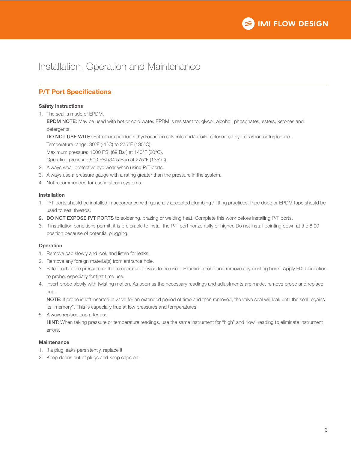

## Installation, Operation and Maintenance

### P/T Port Specifications

### Safety Instructions

1. The seal is made of EPDM.

EPDM NOTE: May be used with hot or cold water. EPDM is resistant to: glycol, alcohol, phosphates, esters, ketones and detergents.

DO NOT USE WITH: Petroleum products, hydrocarbon solvents and/or oils, chlorinated hydrocarbon or turpentine. Temperature range: 30°F (-1°C) to 275°F (135°C).

Maximum pressure: 1000 PSI (69 Bar) at 140°F (60°C).

Operating pressure: 500 PSI (34.5 Bar) at 275°F (135°C).

- 2. Always wear protective eye wear when using P/T ports.
- 3. Always use a pressure gauge with a rating greater than the pressure in the system.
- 4. Not recommended for use in steam systems.

### Installation

- 1. P/T ports should be installed in accordance with generally accepted plumbing / fitting practices. Pipe dope or EPDM tape should be used to seal threads.
- 2. DO NOT EXPOSE P/T PORTS to soldering, brazing or welding heat. Complete this work before installing P/T ports.
- 3. If installation conditions permit, it is preferable to install the P/T port horizontally or higher. Do not install pointing down at the 6:00 position because of potential plugging.

### **Operation**

- 1. Remove cap slowly and look and listen for leaks.
- 2. Remove any foreign material(s) from entrance hole.
- 3. Select either the pressure or the temperature device to be used. Examine probe and remove any existing burrs. Apply FDI lubrication to probe, especially for first time use.
- 4. Insert probe slowly with twisting motion. As soon as the necessary readings and adjustments are made, remove probe and replace cap.

NOTE: If probe is left inserted in valve for an extended period of time and then removed, the valve seal will leak until the seal regains its "memory". This is especially true at low pressures and temperatures.

5. Always replace cap after use.

HINT: When taking pressure or temperature readings, use the same instrument for "high" and "low" reading to eliminate instrument errors.

### **Maintenance**

- 1. If a plug leaks persistently, replace it.
- 2. Keep debris out of plugs and keep caps on.